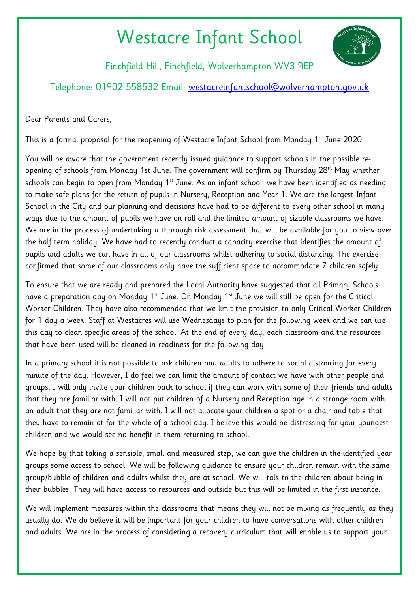## Westacre Infant School



Finchfield Hill, Finchfield, Wolverhampton WV3 9EP

Telephone: 01902 558532 Email: [westacreinfantschool@wolverhampton.gov.uk](mailto:westacreinfantschool@wolverhampton.gov.uk)

Dear Parents and Carers,

This is a formal proposal for the reopening of Westacre Infant School from Monday 1<sup>st</sup> June 2020.

You will be aware that the government recently issued guidance to support schools in the possible reopening of schools from Monday 1st June. The government will confirm by Thursday 28<sup>th</sup> May whether schools can begin to open from Monday 1<sup>st</sup> June. As an infant school, we have been identified as needing to make safe plans for the return of pupils in Nursery, Reception and Year 1. We are the largest Infant School in the City and our planning and decisions have had to be different to every other school in many ways due to the amount of pupils we have on roll and the limited amount of sizable classrooms we have. We are in the process of undertaking a thorough risk assessment that will be available for you to view over the half term holiday. We have had to recently conduct a capacity exercise that identifies the amount of pupils and adults we can have in all of our classrooms whilst adhering to social distancing. The exercise confirmed that some of our classrooms only have the sufficient space to accommodate 7 children safely.

To ensure that we are ready and prepared the Local Authority have suggested that all Primary Schools have a preparation day on Monday 1<sup>st</sup> June. On Monday 1<sup>st</sup> June we will still be open for the Critical Worker Children. They have also recommended that we limit the provision to only Critical Worker Children for 1 day a week. Staff at Westacres will use Wednesdays to plan for the following week and we can use this day to clean specific areas of the school. At the end of every day, each classroom and the resources that have been used will be cleaned in readiness for the following day.

In a primary school it is not possible to ask children and adults to adhere to social distancing for every minute of the day. However, I do feel we can limit the amount of contact we have with other people and groups. I will only invite your children back to school if they can work with some of their friends and adults that they are familiar with. I will not put children of a Nursery and Reception age in a strange room with an adult that they are not familiar with. I will not allocate your children a spot or a chair and table that they have to remain at for the whole of a school day. I believe this would be distressing for your youngest children and we would see no benefit in them returning to school.

We hope by that taking a sensible, small and measured step, we can give the children in the identified year groups some access to school. We will be following guidance to ensure your children remain with the same group/bubble of children and adults whilst they are at school. We will talk to the children about being in their bubbles. They will have access to resources and outside but this will be limited in the first instance.

We will implement measures within the classrooms that means they will not be mixing as frequently as they usually do. We do believe it will be important for your children to have conversations with other children and adults. We are in the process of considering a recovery curriculum that will enable us to support your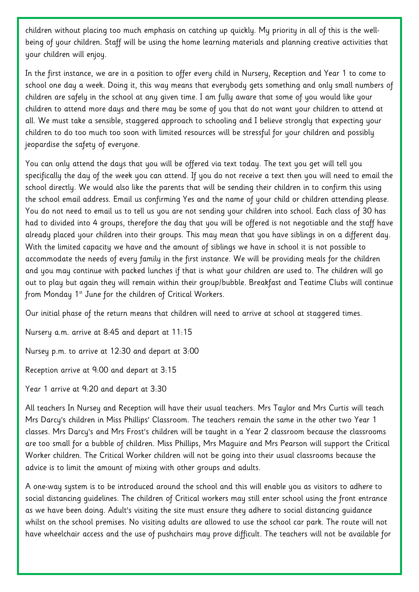children without placing too much emphasis on catching up quickly. My priority in all of this is the wellbeing of your children. Staff will be using the home learning materials and planning creative activities that your children will enjoy.

In the first instance, we are in a position to offer every child in Nursery, Reception and Year 1 to come to school one day a week. Doing it, this way means that everybody gets something and only small numbers of children are safely in the school at any given time. I am fully aware that some of you would like your children to attend more days and there may be some of you that do not want your children to attend at all. We must take a sensible, staggered approach to schooling and I believe strongly that expecting your children to do too much too soon with limited resources will be stressful for your children and possibly jeopardise the safety of everyone.

You can only attend the days that you will be offered via text today. The text you get will tell you specifically the day of the week you can attend. If you do not receive a text then you will need to email the school directly. We would also like the parents that will be sending their children in to confirm this using the school email address. Email us confirming Yes and the name of your child or children attending please. You do not need to email us to tell us you are not sending your children into school. Each class of 30 has had to divided into 4 groups, therefore the day that you will be offered is not negotiable and the staff have already placed your children into their groups. This may mean that you have siblings in on a different day. With the limited capacity we have and the amount of siblings we have in school it is not possible to accommodate the needs of every family in the first instance. We will be providing meals for the children and you may continue with packed lunches if that is what your children are used to. The children will go out to play but again they will remain within their group/bubble. Breakfast and Teatime Clubs will continue from Monday 1<sup>st</sup> June for the children of Critical Workers.

Our initial phase of the return means that children will need to arrive at school at staggered times.

Nursery a.m. arrive at 8:45 and depart at 11:15

Nursey p.m. to arrive at 12:30 and depart at 3:00

Reception arrive at 9:00 and depart at 3:15

Year 1 arrive at 9:20 and depart at 3:30

All teachers In Nursey and Reception will have their usual teachers. Mrs Taylor and Mrs Curtis will teach Mrs Darcy's children in Miss Phillips' Classroom. The teachers remain the same in the other two Year 1 classes. Mrs Darcy's and Mrs Frost's children will be taught in a Year 2 classroom because the classrooms are too small for a bubble of children. Miss Phillips, Mrs Maguire and Mrs Pearson will support the Critical Worker children. The Critical Worker children will not be going into their usual classrooms because the advice is to limit the amount of mixing with other groups and adults.

A one-way system is to be introduced around the school and this will enable you as visitors to adhere to social distancing guidelines. The children of Critical workers may still enter school using the front entrance as we have been doing. Adult's visiting the site must ensure they adhere to social distancing guidance whilst on the school premises. No visiting adults are allowed to use the school car park. The route will not have wheelchair access and the use of pushchairs may prove difficult. The teachers will not be available for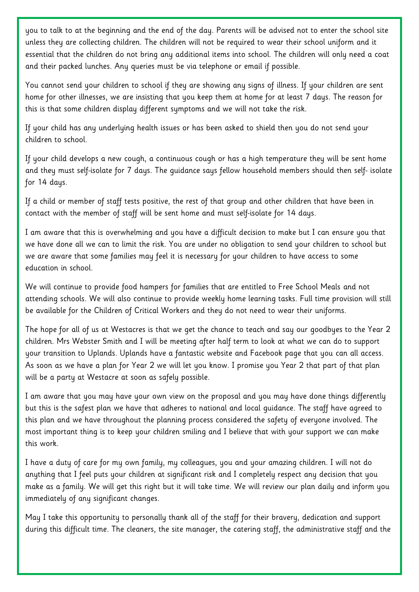you to talk to at the beginning and the end of the day. Parents will be advised not to enter the school site unless they are collecting children. The children will not be required to wear their school uniform and it essential that the children do not bring any additional items into school. The children will only need a coat and their packed lunches. Any queries must be via telephone or email if possible.

You cannot send your children to school if they are showing any signs of illness. If your children are sent home for other illnesses, we are insisting that you keep them at home for at least 7 days. The reason for this is that some children display different symptoms and we will not take the risk.

If your child has any underlying health issues or has been asked to shield then you do not send your children to school.

If your child develops a new cough, a continuous cough or has a high temperature they will be sent home and they must self-isolate for 7 days. The guidance says fellow household members should then self- isolate for 14 days.

If a child or member of staff tests positive, the rest of that group and other children that have been in contact with the member of staff will be sent home and must self-isolate for 14 days.

I am aware that this is overwhelming and you have a difficult decision to make but I can ensure you that we have done all we can to limit the risk. You are under no obligation to send your children to school but we are aware that some families may feel it is necessary for your children to have access to some education in school.

We will continue to provide food hampers for families that are entitled to Free School Meals and not attending schools. We will also continue to provide weekly home learning tasks. Full time provision will still be available for the Children of Critical Workers and they do not need to wear their uniforms.

The hope for all of us at Westacres is that we get the chance to teach and say our goodbyes to the Year 2 children. Mrs Webster Smith and I will be meeting after half term to look at what we can do to support your transition to Uplands. Uplands have a fantastic website and Facebook page that you can all access. As soon as we have a plan for Year 2 we will let you know. I promise you Year 2 that part of that plan will be a party at Westacre at soon as safely possible.

I am aware that you may have your own view on the proposal and you may have done things differently but this is the safest plan we have that adheres to national and local guidance. The staff have agreed to this plan and we have throughout the planning process considered the safety of everyone involved. The most important thing is to keep your children smiling and I believe that with your support we can make this work.

I have a duty of care for my own family, my colleagues, you and your amazing children. I will not do anything that I feel puts your children at significant risk and I completely respect any decision that you make as a family. We will get this right but it will take time. We will review our plan daily and inform you immediately of any significant changes.

May I take this opportunity to personally thank all of the staff for their bravery, dedication and support during this difficult time. The cleaners, the site manager, the catering staff, the administrative staff and the